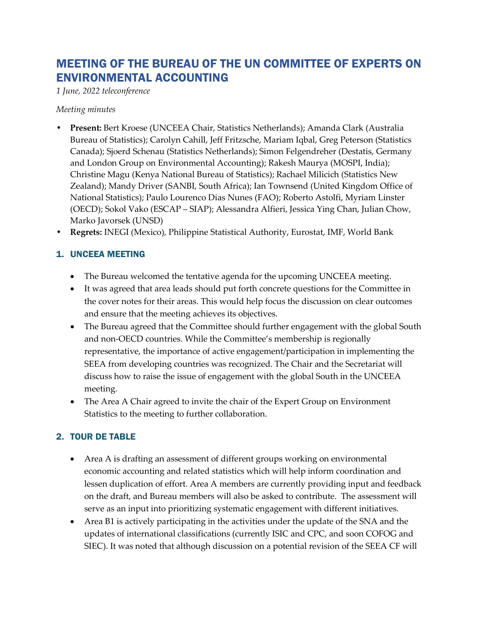# MEETING OF THE BUREAU OF THE UN COMMITTEE OF EXPERTS ON ENVIRONMENTAL ACCOUNTING

*1 June, 2022 teleconference*

*Meeting minutes*

- **Present:** Bert Kroese (UNCEEA Chair, Statistics Netherlands); Amanda Clark (Australia Bureau of Statistics); Carolyn Cahill, Jeff Fritzsche, Mariam Iqbal, Greg Peterson (Statistics Canada); Sjoerd Schenau (Statistics Netherlands); Simon Felgendreher (Destatis, Germany and London Group on Environmental Accounting); Rakesh Maurya (MOSPI, India); Christine Magu (Kenya National Bureau of Statistics); Rachael Milicich (Statistics New Zealand); Mandy Driver (SANBI, South Africa); Ian Townsend (United Kingdom Office of National Statistics); Paulo Lourenco Dias Nunes (FAO); Roberto Astolfi, Myriam Linster (OECD); Sokol Vako (ESCAP – SIAP); Alessandra Alfieri, Jessica Ying Chan, Julian Chow, Marko Javorsek (UNSD)
- **Regrets:** INEGI (Mexico), Philippine Statistical Authority, Eurostat, IMF, World Bank

### 1. UNCEEA MEETING

- The Bureau welcomed the tentative agenda for the upcoming UNCEEA meeting.
- It was agreed that area leads should put forth concrete questions for the Committee in the cover notes for their areas. This would help focus the discussion on clear outcomes and ensure that the meeting achieves its objectives.
- The Bureau agreed that the Committee should further engagement with the global South and non-OECD countries. While the Committee's membership is regionally representative, the importance of active engagement/participation in implementing the SEEA from developing countries was recognized. The Chair and the Secretariat will discuss how to raise the issue of engagement with the global South in the UNCEEA meeting.
- The Area A Chair agreed to invite the chair of the Expert Group on Environment Statistics to the meeting to further collaboration.

## 2. TOUR DE TABLE

- Area A is drafting an assessment of different groups working on environmental economic accounting and related statistics which will help inform coordination and lessen duplication of effort. Area A members are currently providing input and feedback on the draft, and Bureau members will also be asked to contribute. The assessment will serve as an input into prioritizing systematic engagement with different initiatives.
- Area B1 is actively participating in the activities under the update of the SNA and the updates of international classifications (currently ISIC and CPC, and soon COFOG and SIEC). It was noted that although discussion on a potential revision of the SEEA CF will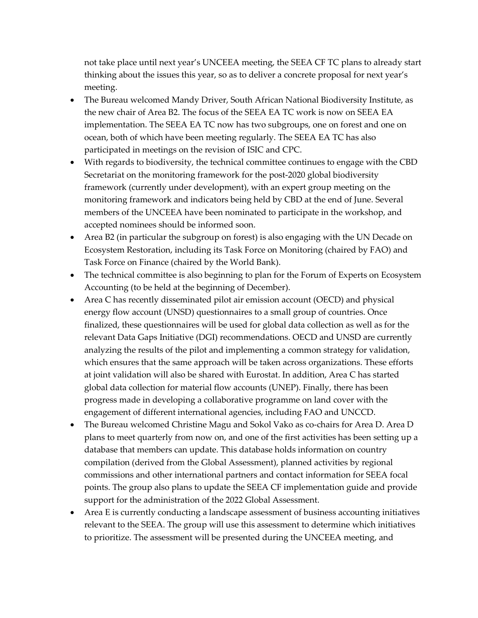not take place until next year's UNCEEA meeting, the SEEA CF TC plans to already start thinking about the issues this year, so as to deliver a concrete proposal for next year's meeting.

- The Bureau welcomed Mandy Driver, South African National Biodiversity Institute, as the new chair of Area B2. The focus of the SEEA EA TC work is now on SEEA EA implementation. The SEEA EA TC now has two subgroups, one on forest and one on ocean, both of which have been meeting regularly. The SEEA EA TC has also participated in meetings on the revision of ISIC and CPC.
- With regards to biodiversity, the technical committee continues to engage with the CBD Secretariat on the monitoring framework for the post-2020 global biodiversity framework (currently under development), with an expert group meeting on the monitoring framework and indicators being held by CBD at the end of June. Several members of the UNCEEA have been nominated to participate in the workshop, and accepted nominees should be informed soon.
- Area B2 (in particular the subgroup on forest) is also engaging with the UN Decade on Ecosystem Restoration, including its Task Force on Monitoring (chaired by FAO) and Task Force on Finance (chaired by the World Bank).
- The technical committee is also beginning to plan for the Forum of Experts on Ecosystem Accounting (to be held at the beginning of December).
- Area C has recently disseminated pilot air emission account (OECD) and physical energy flow account (UNSD) questionnaires to a small group of countries. Once finalized, these questionnaires will be used for global data collection as well as for the relevant Data Gaps Initiative (DGI) recommendations. OECD and UNSD are currently analyzing the results of the pilot and implementing a common strategy for validation, which ensures that the same approach will be taken across organizations. These efforts at joint validation will also be shared with Eurostat. In addition, Area C has started global data collection for material flow accounts (UNEP). Finally, there has been progress made in developing a collaborative programme on land cover with the engagement of different international agencies, including FAO and UNCCD.
- The Bureau welcomed Christine Magu and Sokol Vako as co-chairs for Area D. Area D plans to meet quarterly from now on, and one of the first activities has been setting up a database that members can update. This database holds information on country compilation (derived from the Global Assessment), planned activities by regional commissions and other international partners and contact information for SEEA focal points. The group also plans to update the SEEA CF implementation guide and provide support for the administration of the 2022 Global Assessment.
- Area E is currently conducting a landscape assessment of business accounting initiatives relevant to the SEEA. The group will use this assessment to determine which initiatives to prioritize. The assessment will be presented during the UNCEEA meeting, and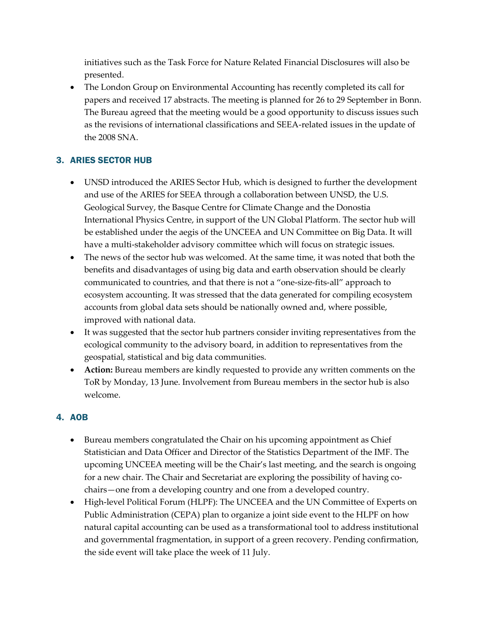initiatives such as the Task Force for Nature Related Financial Disclosures will also be presented.

• The London Group on Environmental Accounting has recently completed its call for papers and received 17 abstracts. The meeting is planned for 26 to 29 September in Bonn. The Bureau agreed that the meeting would be a good opportunity to discuss issues such as the revisions of international classifications and SEEA-related issues in the update of the 2008 SNA.

#### 3. ARIES SECTOR HUB

- UNSD introduced the ARIES Sector Hub, which is designed to further the development and use of the ARIES for SEEA through a collaboration between UNSD, the U.S. Geological Survey, the Basque Centre for Climate Change and the Donostia International Physics Centre, in support of the UN Global Platform. The sector hub will be established under the aegis of the UNCEEA and UN Committee on Big Data. It will have a multi-stakeholder advisory committee which will focus on strategic issues.
- The news of the sector hub was welcomed. At the same time, it was noted that both the benefits and disadvantages of using big data and earth observation should be clearly communicated to countries, and that there is not a "one-size-fits-all" approach to ecosystem accounting. It was stressed that the data generated for compiling ecosystem accounts from global data sets should be nationally owned and, where possible, improved with national data.
- It was suggested that the sector hub partners consider inviting representatives from the ecological community to the advisory board, in addition to representatives from the geospatial, statistical and big data communities.
- **Action:** Bureau members are kindly requested to provide any written comments on the ToR by Monday, 13 June. Involvement from Bureau members in the sector hub is also welcome.

#### 4. AOB

- Bureau members congratulated the Chair on his upcoming appointment as Chief Statistician and Data Officer and Director of the Statistics Department of the IMF. The upcoming UNCEEA meeting will be the Chair's last meeting, and the search is ongoing for a new chair. The Chair and Secretariat are exploring the possibility of having cochairs—one from a developing country and one from a developed country.
- High-level Political Forum (HLPF): The UNCEEA and the UN Committee of Experts on Public Administration (CEPA) plan to organize a joint side event to the HLPF on how natural capital accounting can be used as a transformational tool to address institutional and governmental fragmentation, in support of a green recovery. Pending confirmation, the side event will take place the week of 11 July.